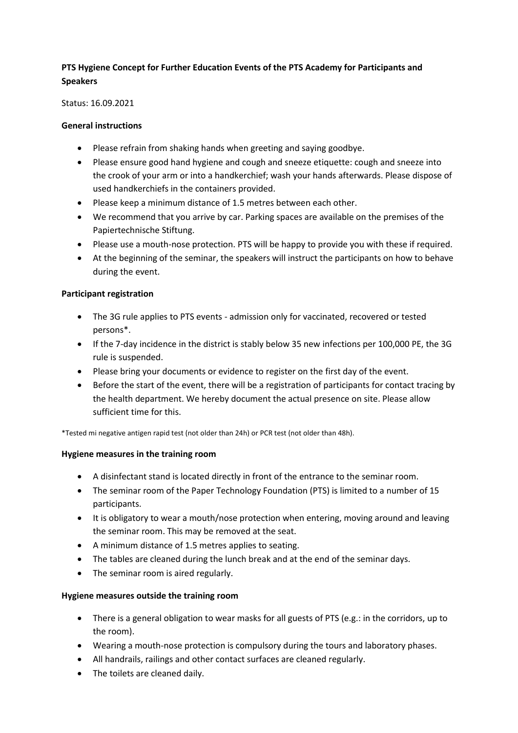# **PTS Hygiene Concept for Further Education Events of the PTS Academy for Participants and Speakers**

Status: 16.09.2021

#### **General instructions**

- Please refrain from shaking hands when greeting and saying goodbye.
- Please ensure good hand hygiene and cough and sneeze etiquette: cough and sneeze into the crook of your arm or into a handkerchief; wash your hands afterwards. Please dispose of used handkerchiefs in the containers provided.
- Please keep a minimum distance of 1.5 metres between each other.
- We recommend that you arrive by car. Parking spaces are available on the premises of the Papiertechnische Stiftung.
- Please use a mouth-nose protection. PTS will be happy to provide you with these if required.
- At the beginning of the seminar, the speakers will instruct the participants on how to behave during the event.

#### **Participant registration**

- The 3G rule applies to PTS events admission only for vaccinated, recovered or tested persons\*.
- If the 7-day incidence in the district is stably below 35 new infections per 100,000 PE, the 3G rule is suspended.
- Please bring your documents or evidence to register on the first day of the event.
- Before the start of the event, there will be a registration of participants for contact tracing by the health department. We hereby document the actual presence on site. Please allow sufficient time for this.

\*Tested mi negative antigen rapid test (not older than 24h) or PCR test (not older than 48h).

## **Hygiene measures in the training room**

- A disinfectant stand is located directly in front of the entrance to the seminar room.
- The seminar room of the Paper Technology Foundation (PTS) is limited to a number of 15 participants.
- It is obligatory to wear a mouth/nose protection when entering, moving around and leaving the seminar room. This may be removed at the seat.
- A minimum distance of 1.5 metres applies to seating.
- The tables are cleaned during the lunch break and at the end of the seminar days.
- The seminar room is aired regularly.

## **Hygiene measures outside the training room**

- There is a general obligation to wear masks for all guests of PTS (e.g.: in the corridors, up to the room).
- Wearing a mouth-nose protection is compulsory during the tours and laboratory phases.
- All handrails, railings and other contact surfaces are cleaned regularly.
- The toilets are cleaned daily.